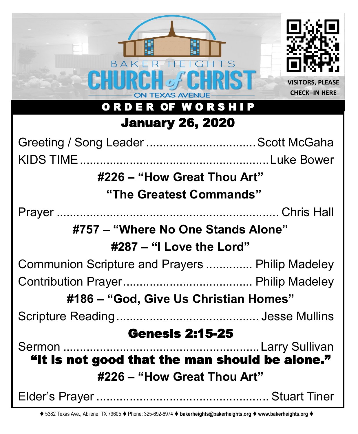

⧫ 5382 Texas Ave., Abilene, TX 79605 ⧫ Phone: 325-692-6974 ⧫ **bakerheights@bakerheights.org** ⧫ **www.bakerheights.org** ⧫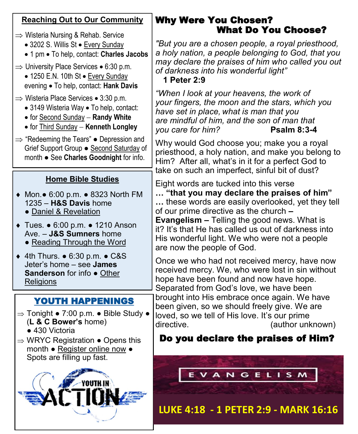| <b>Reaching Out to Our Community</b>                                                                                                                                                                                                                                                                                                                                   | <b>Why Were You Chosen?</b><br><b>What Do You Choose?</b>                                                                                                                                                                                                                                                                                                                                                                                                                                                                    |
|------------------------------------------------------------------------------------------------------------------------------------------------------------------------------------------------------------------------------------------------------------------------------------------------------------------------------------------------------------------------|------------------------------------------------------------------------------------------------------------------------------------------------------------------------------------------------------------------------------------------------------------------------------------------------------------------------------------------------------------------------------------------------------------------------------------------------------------------------------------------------------------------------------|
| $\Rightarrow$ Wisteria Nursing & Rehab. Service<br>• 3202 S. Willis St · Every Sunday<br>• 1 pm • To help, contact: Charles Jacobs<br>$\Rightarrow$ University Place Services • 6:30 p.m.<br>• 1250 E.N. 10th St • Every Sunday<br>evening • To help, contact: Hank Davis                                                                                              | "But you are a chosen people, a royal priesthood,<br>a holy nation, a people belonging to God, that you<br>may declare the praises of him who called you out<br>of darkness into his wonderful light"<br>1 Peter 2:9                                                                                                                                                                                                                                                                                                         |
| $\Rightarrow$ Wisteria Place Services • 3:30 p.m.<br>• 3149 Wisteria Way • To help, contact:<br>• for Second Sunday - Randy White<br>• for Third Sunday - Kenneth Longley                                                                                                                                                                                              | "When I look at your heavens, the work of<br>your fingers, the moon and the stars, which you<br>have set in place, what is man that you<br>are mindful of him, and the son of man that<br>you care for him?<br><b>Psalm 8:3-4</b>                                                                                                                                                                                                                                                                                            |
| $\Rightarrow$ "Redeeming the Tears" $\bullet$ Depression and<br>Grief Support Group . Second Saturday of<br>month . See Charles Goodnight for info.                                                                                                                                                                                                                    | Why would God choose you; make you a royal<br>priesthood, a holy nation, and make you belong to<br>Him? After all, what's in it for a perfect God to<br>take on such an imperfect, sinful bit of dust?                                                                                                                                                                                                                                                                                                                       |
| <b>Home Bible Studies</b><br>♦ Mon. • 6:00 p.m. • 8323 North FM<br>1235 - H&S Davis home<br>· Daniel & Revelation<br>◆ Tues. • 6:00 p.m. • 1210 Anson<br>Ave. - J&S Sumners home<br>• Reading Through the Word<br>$\triangle$ 4th Thurs. $\bullet$ 6:30 p.m. $\bullet$ C&S<br>Jeter's home - see <b>James</b><br><b>Sanderson</b> for info • Other<br><b>Religions</b> | Eight words are tucked into this verse<br>"that you may declare the praises of him"<br>these words are easily overlooked, yet they tell<br>of our prime directive as the church -<br><b>Evangelism - Telling the good news. What is</b><br>it? It's that He has called us out of darkness into<br>His wonderful light. We who were not a people<br>are now the people of God.<br>Once we who had not received mercy, have now<br>received mercy. We, who were lost in sin without<br>hope have been found and now have hope. |
| <b>YOUTH HAPPENINGS</b><br>$\Rightarrow$ Tonight • 7:00 p.m. • Bible Study •<br>(L & C Bower's home)<br>• 430 Victoria<br>$\Rightarrow$ WRYC Registration $\bullet$ Opens this<br>month • Register online now •                                                                                                                                                        | Separated from God's love, we have been<br>brought into His embrace once again. We have<br>been given, so we should freely give. We are<br>loved, so we tell of His love. It's our prime<br>directive.<br>(author unknown)<br>Do you declare the praises of Him?                                                                                                                                                                                                                                                             |
| Spots are filling up fast.                                                                                                                                                                                                                                                                                                                                             | <b>EVANGELISM</b><br>LUKE 4:18 - 1 PETER 2:9 - MARK 16:16                                                                                                                                                                                                                                                                                                                                                                                                                                                                    |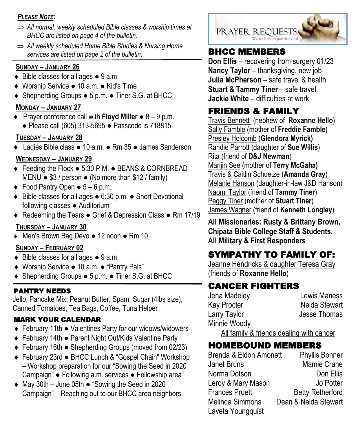#### *PLEASE NOTE:*

- *All normal, weekly scheduled Bible classes & worship times at BHCC are listed on page 4 of the bulletin.*
- *All weekly scheduled Home Bible Studies & Nursing Home services are listed on page 2 of the bulletin.* **BHCC MEMBERS**

#### **SUNDAY – JANUARY 26**

- ◆ Bible classes for all ages 9 a.m.
- Worship Service 10 a.m. Kid's Time
- Shepherding Groups 5 p.m. Tiner S.G. at BHCC

#### **MONDAY – JANUARY 27**

 Prayer conference call with **Floyd Miller** ● 8 – 9 p.m. ● Please call (605) 313-5695 ● Passcode is 718815

### **TUESDAY – JANUARY 28**

Ladies Bible class ● 10 a.m. ● Rm 35 ● James Sanderson

### **WEDNESDAY – JANUARY 29**

- Feeding the Flock 5:30 P.M. BEANS & CORNBREAD MENU  $\bullet$  \$3 / person  $\bullet$  (No more than \$12 / family)
- $\bullet$  Food Pantry Open  $\bullet$  5 6 p.m.
- Bible classes for all ages 6:30 p.m. Short Devotional following classes ● Auditorium
- ◆ Redeeming the Tears Grief & Depression Class Rm 17/19

### **THURSDAY – JANUARY 30**

Men's Brown Bag Devo ● 12 noon ● Rm 10

### **SUNDAY – FEBRUARY 02**

- ◆ Bible classes for all ages 9 a.m.
- Worship Service 10 a.m. "Pantry Pals"
- Shepherding Groups 5 p.m. Tiner S.G. at BHCC

### PANTRY NEEDS

Jello, Pancake Mix, Peanut Butter, Spam, Sugar (4lbs size), Canned Tomatoes, Tea Bags, Coffee, Tuna Helper

### MARK YOUR CALENDAR

- February 11th Valentines Party for our widows/widowers
- February 14th Parent Night Out/Kids Valentine Party
- February 16th Shepherding Groups (moved from 02/23)
- February 23rd BHCC Lunch & "Gospel Chain" Workshop – Workshop preparation for our "Sowing the Seed in 2020 Campaign" ● Following a.m. services ● Fellowship area
- May 30th June 05th "Sowing the Seed in 2020 Campaign" – Reaching out to our BHCC area neighbors.



**Don Ellis** – recovering from surgery 01/23 **Nancy Taylor – thanksgiving, new job Julia McPherson** – safe travel & health **Stuart & Tammy Tiner** – safe travel **Jackie White** – difficulties at work

# FRIENDS & FAMILY

Travis Bennett (nephew of **Roxanne Hello**) Sally Famble (mother of **Freddie Famble**) Presley Holcomb (**Glendora Myrick)** Randie Parrott (daughter of **Sue Willis**) Rita (friend of **D&J Newman**) Marijin See (mother of **Terry McGaha)** Travis & Caitlin Schuetze (**Amanda Gray**) Melanie Hanson (daughter-in-law J&D Hanson) Naomi Taylor (friend of **Tammy Tiner**) Peggy Tiner (mother of **Stuart Tiner**) James Wagner (friend of **Kenneth Longley**)

**All Missionaries: Rusty & Brittany Brown, Chipata Bible College Staff & Students. All Military & First Responders**

# SYMPATHY TO FAMILY OF:

Jeanne Hendricks & daughter Teresa Gray (friends of **Roxanne Hello**)

# CANCER FIGHTERS

Jena Madeley Lewis Maness Kay Procter Nelda Stewart Larry Taylor **Jesse Thomas** Minnie Woody

All family & friends dealing with cancer

# HOMEBOUND MEMBERS

| Brenda & Eldon Amonett | <b>Phyllis Bonner</b>   |
|------------------------|-------------------------|
| Janet Bruns            | Mamie Crane             |
| Norma Dotson           | Don Ellis               |
| Leroy & Mary Mason     | Jo Potter               |
| <b>Frances Pruett</b>  | <b>Betty Retherford</b> |
| Melinda Simmons        | Dean & Nelda Stewart    |
| Laveta Youngquist      |                         |